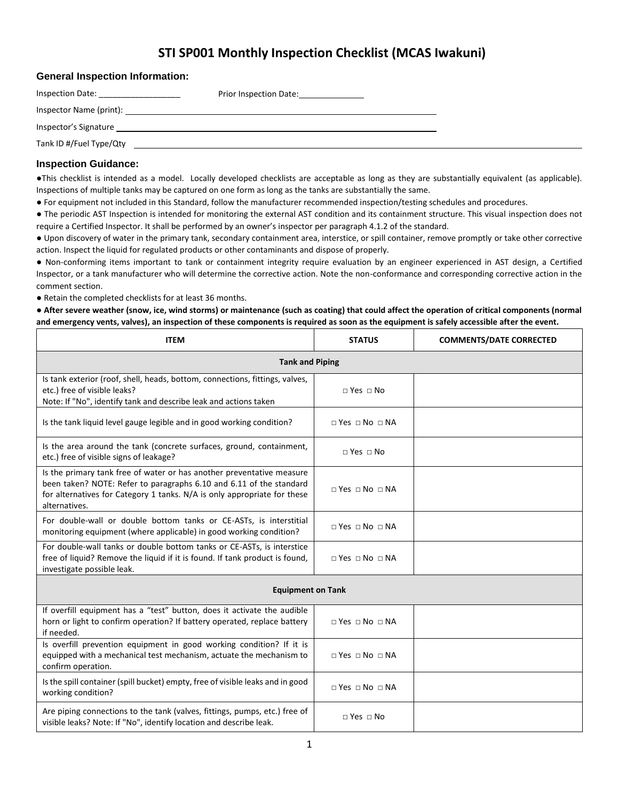## **STI SP001 Monthly Inspection Checklist (MCAS Iwakuni)**

| <b>General Inspection Information:</b>                                                                                                                                                                                         |                                   |
|--------------------------------------------------------------------------------------------------------------------------------------------------------------------------------------------------------------------------------|-----------------------------------|
|                                                                                                                                                                                                                                | Prior Inspection Date: 1996. [19] |
| Inspector Name (print): the contract of the contract of the contract of the contract of the contract of the contract of the contract of the contract of the contract of the contract of the contract of the contract of the co |                                   |
| Inspector's Signature                                                                                                                                                                                                          |                                   |
| Tank ID #/Fuel Type/Qty                                                                                                                                                                                                        |                                   |

## **Inspection Guidance:**

●This checklist is intended as a model. Locally developed checklists are acceptable as long as they are substantially equivalent (as applicable). Inspections of multiple tanks may be captured on one form as long as the tanks are substantially the same.

● For equipment not included in this Standard, follow the manufacturer recommended inspection/testing schedules and procedures.

● The periodic AST Inspection is intended for monitoring the external AST condition and its containment structure. This visual inspection does not require a Certified Inspector. It shall be performed by an owner's inspector per paragraph 4.1.2 of the standard.

● Upon discovery of water in the primary tank, secondary containment area, interstice, or spill container, remove promptly or take other corrective action. Inspect the liquid for regulated products or other contaminants and dispose of properly.

● Non-conforming items important to tank or containment integrity require evaluation by an engineer experienced in AST design, a Certified Inspector, or a tank manufacturer who will determine the corrective action. Note the non-conformance and corresponding corrective action in the comment section.

● Retain the completed checklists for at least 36 months.

## ● **After severe weather (snow, ice, wind storms) or maintenance (such as coating) that could affect the operation of critical components (normal and emergency vents, valves), an inspection of these components is required as soon as the equipment is safely accessible after the event.**

| <b>ITEM</b>                                                                                                                                                                                                                               | <b>STATUS</b>                        | <b>COMMENTS/DATE CORRECTED</b> |  |  |
|-------------------------------------------------------------------------------------------------------------------------------------------------------------------------------------------------------------------------------------------|--------------------------------------|--------------------------------|--|--|
| <b>Tank and Piping</b>                                                                                                                                                                                                                    |                                      |                                |  |  |
| Is tank exterior (roof, shell, heads, bottom, connections, fittings, valves,<br>etc.) free of visible leaks?<br>Note: If "No", identify tank and describe leak and actions taken                                                          | $\Box$ Yes $\Box$ No                 |                                |  |  |
| Is the tank liquid level gauge legible and in good working condition?                                                                                                                                                                     | $\Box$ Yes $\Box$ No $\Box$ NA       |                                |  |  |
| Is the area around the tank (concrete surfaces, ground, containment,<br>etc.) free of visible signs of leakage?                                                                                                                           | $\sqcap$ Yes $\sqcap$ No             |                                |  |  |
| Is the primary tank free of water or has another preventative measure<br>been taken? NOTE: Refer to paragraphs 6.10 and 6.11 of the standard<br>for alternatives for Category 1 tanks. N/A is only appropriate for these<br>alternatives. | $\Box$ Yes $\Box$ No $\Box$ NA       |                                |  |  |
| For double-wall or double bottom tanks or CE-ASTs, is interstitial<br>monitoring equipment (where applicable) in good working condition?                                                                                                  | $\sqcap$ Yes $\sqcap$ No $\sqcap$ NA |                                |  |  |
| For double-wall tanks or double bottom tanks or CE-ASTs, is interstice<br>free of liquid? Remove the liquid if it is found. If tank product is found,<br>investigate possible leak.                                                       | $\Box$ Yes $\Box$ No $\Box$ NA       |                                |  |  |
| <b>Equipment on Tank</b>                                                                                                                                                                                                                  |                                      |                                |  |  |
| If overfill equipment has a "test" button, does it activate the audible<br>horn or light to confirm operation? If battery operated, replace battery<br>if needed.                                                                         | $\Box$ Yes $\Box$ No $\Box$ NA       |                                |  |  |
| Is overfill prevention equipment in good working condition? If it is<br>equipped with a mechanical test mechanism, actuate the mechanism to<br>confirm operation.                                                                         | $\sqcap$ Yes $\sqcap$ No $\sqcap$ NA |                                |  |  |
| Is the spill container (spill bucket) empty, free of visible leaks and in good<br>working condition?                                                                                                                                      | $\Box$ Yes $\Box$ No $\Box$ NA       |                                |  |  |
| Are piping connections to the tank (valves, fittings, pumps, etc.) free of<br>visible leaks? Note: If "No", identify location and describe leak.                                                                                          | $\Box$ Yes $\Box$ No                 |                                |  |  |